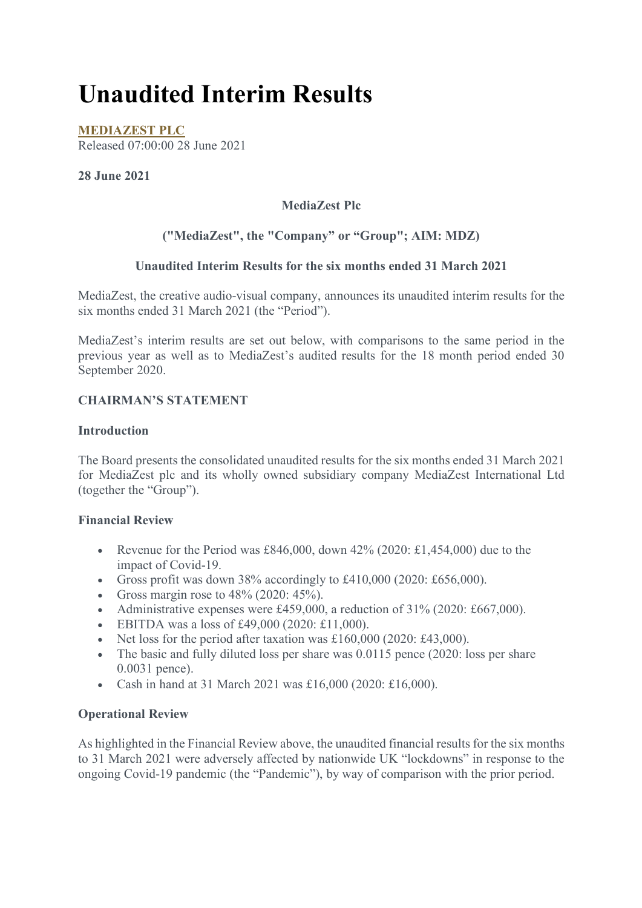# **Unaudited Interim Results**

**MEDIAZEST PLC** Released 07:00:00 28 June 2021

#### **28 June 2021**

## **MediaZest Plc**

## **("MediaZest", the "Company" or "Group"; AIM: MDZ)**

#### **Unaudited Interim Results for the six months ended 31 March 2021**

MediaZest, the creative audio-visual company, announces its unaudited interim results for the six months ended 31 March 2021 (the "Period").

MediaZest's interim results are set out below, with comparisons to the same period in the previous year as well as to MediaZest's audited results for the 18 month period ended 30 September 2020.

#### **CHAIRMAN'S STATEMENT**

#### **Introduction**

The Board presents the consolidated unaudited results for the six months ended 31 March 2021 for MediaZest plc and its wholly owned subsidiary company MediaZest International Ltd (together the "Group").

#### **Financial Review**

- Revenue for the Period was  $£846,000$ , down  $42\%$  (2020: £1,454,000) due to the impact of Covid-19.
- Gross profit was down 38% accordingly to £410,000 (2020: £656,000).
- Gross margin rose to  $48\%$  (2020:  $45\%$ ).
- Administrative expenses were  $£459,000$ , a reduction of  $31\%$  (2020: £667,000).
- EBITDA was a loss of £49,000 (2020: £11,000).
- Net loss for the period after taxation was £160,000 (2020: £43,000).
- The basic and fully diluted loss per share was 0.0115 pence (2020: loss per share 0.0031 pence).
- Cash in hand at 31 March 2021 was £16,000 (2020: £16,000).

#### **Operational Review**

As highlighted in the Financial Review above, the unaudited financial results for the six months to 31 March 2021 were adversely affected by nationwide UK "lockdowns" in response to the ongoing Covid-19 pandemic (the "Pandemic"), by way of comparison with the prior period.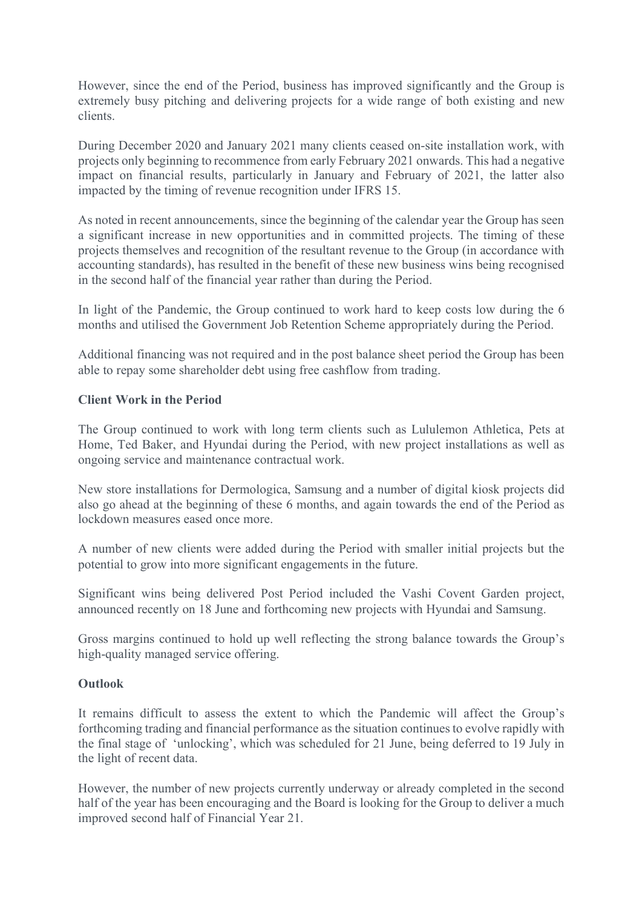However, since the end of the Period, business has improved significantly and the Group is extremely busy pitching and delivering projects for a wide range of both existing and new clients.

During December 2020 and January 2021 many clients ceased on-site installation work, with projects only beginning to recommence from early February 2021 onwards. This had a negative impact on financial results, particularly in January and February of 2021, the latter also impacted by the timing of revenue recognition under IFRS 15.

As noted in recent announcements, since the beginning of the calendar year the Group has seen a significant increase in new opportunities and in committed projects. The timing of these projects themselves and recognition of the resultant revenue to the Group (in accordance with accounting standards), has resulted in the benefit of these new business wins being recognised in the second half of the financial year rather than during the Period.

In light of the Pandemic, the Group continued to work hard to keep costs low during the 6 months and utilised the Government Job Retention Scheme appropriately during the Period.

Additional financing was not required and in the post balance sheet period the Group has been able to repay some shareholder debt using free cashflow from trading.

#### **Client Work in the Period**

The Group continued to work with long term clients such as Lululemon Athletica, Pets at Home, Ted Baker, and Hyundai during the Period, with new project installations as well as ongoing service and maintenance contractual work.

New store installations for Dermologica, Samsung and a number of digital kiosk projects did also go ahead at the beginning of these 6 months, and again towards the end of the Period as lockdown measures eased once more.

A number of new clients were added during the Period with smaller initial projects but the potential to grow into more significant engagements in the future.

Significant wins being delivered Post Period included the Vashi Covent Garden project, announced recently on 18 June and forthcoming new projects with Hyundai and Samsung.

Gross margins continued to hold up well reflecting the strong balance towards the Group's high-quality managed service offering.

#### **Outlook**

It remains difficult to assess the extent to which the Pandemic will affect the Group's forthcoming trading and financial performance as the situation continues to evolve rapidly with the final stage of 'unlocking', which was scheduled for 21 June, being deferred to 19 July in the light of recent data.

However, the number of new projects currently underway or already completed in the second half of the year has been encouraging and the Board is looking for the Group to deliver a much improved second half of Financial Year 21.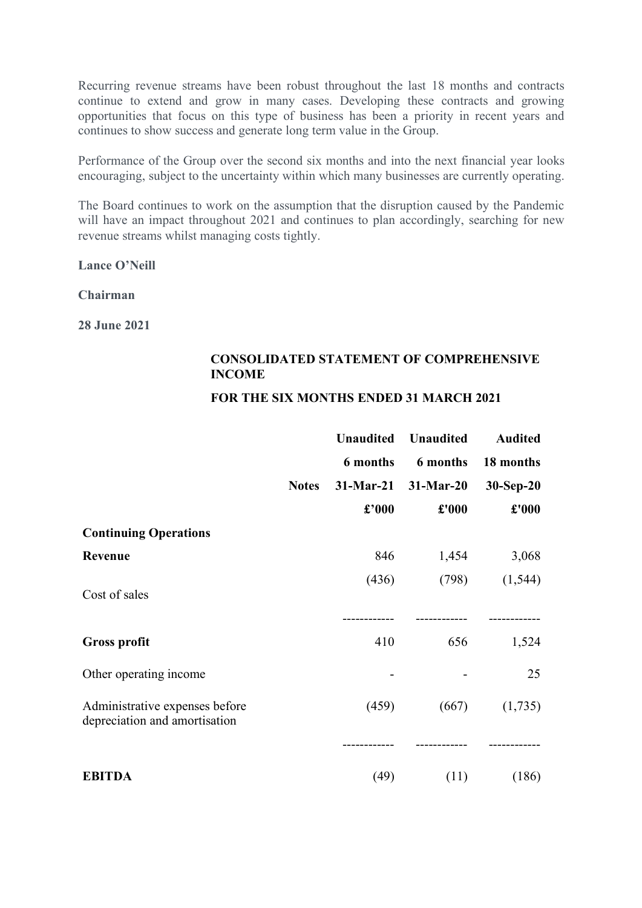Recurring revenue streams have been robust throughout the last 18 months and contracts continue to extend and grow in many cases. Developing these contracts and growing opportunities that focus on this type of business has been a priority in recent years and continues to show success and generate long term value in the Group.

Performance of the Group over the second six months and into the next financial year looks encouraging, subject to the uncertainty within which many businesses are currently operating.

The Board continues to work on the assumption that the disruption caused by the Pandemic will have an impact throughout 2021 and continues to plan accordingly, searching for new revenue streams whilst managing costs tightly.

**Lance O'Neill**

**Chairman**

**28 June 2021**

#### **CONSOLIDATED STATEMENT OF COMPREHENSIVE INCOME**

#### **FOR THE SIX MONTHS ENDED 31 MARCH 2021**

|                                                                 |              | <b>Unaudited</b> | <b>Unaudited</b> | <b>Audited</b> |
|-----------------------------------------------------------------|--------------|------------------|------------------|----------------|
|                                                                 |              | 6 months         | 6 months         | 18 months      |
|                                                                 | <b>Notes</b> | $31-Mar-21$      | $31-Mar-20$      | 30-Sep-20      |
|                                                                 |              | $\pounds$ '000   | £'000            | £'000          |
| <b>Continuing Operations</b>                                    |              |                  |                  |                |
| Revenue                                                         |              | 846              | 1,454            | 3,068          |
| Cost of sales                                                   |              | (436)            | (798)            | (1, 544)       |
|                                                                 |              |                  |                  |                |
| <b>Gross profit</b>                                             |              | 410              | 656              | 1,524          |
| Other operating income                                          |              |                  |                  | 25             |
| Administrative expenses before<br>depreciation and amortisation |              | (459)            | (667)            | (1,735)        |
|                                                                 |              |                  |                  |                |
| <b>EBITDA</b>                                                   |              | (49)             | (11)             | (186)          |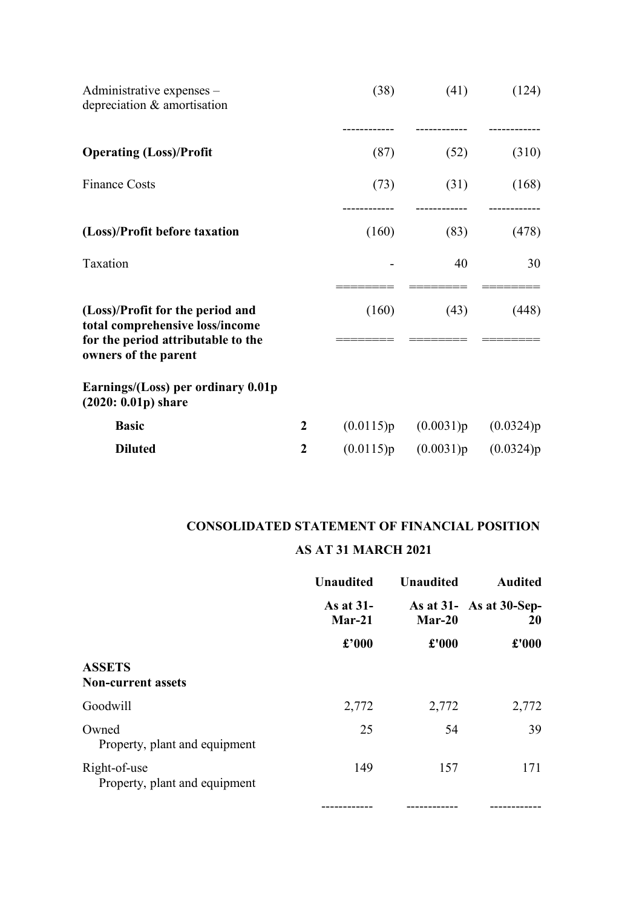| Administrative expenses –<br>depreciation & amortisation                                                                          |                  | (38)      | (41)      | (124)     |
|-----------------------------------------------------------------------------------------------------------------------------------|------------------|-----------|-----------|-----------|
| <b>Operating (Loss)/Profit</b>                                                                                                    |                  | (87)      | (52)      | (310)     |
| <b>Finance Costs</b>                                                                                                              |                  | (73)      | (31)      | (168)     |
| (Loss)/Profit before taxation                                                                                                     |                  | (160)     | (83)      | (478)     |
| Taxation                                                                                                                          |                  |           | 40        | 30        |
| (Loss)/Profit for the period and<br>total comprehensive loss/income<br>for the period attributable to the<br>owners of the parent |                  | (160)     | (43)      | (448)     |
| Earnings/(Loss) per ordinary 0.01p<br>$(2020: 0.01p)$ share                                                                       |                  |           |           |           |
| <b>Basic</b>                                                                                                                      | $\boldsymbol{2}$ | (0.0115)p | (0.0031)p | (0.0324)p |
| <b>Diluted</b>                                                                                                                    | 2                | (0.0115)p | (0.0031)p | (0.0324)p |

# **CONSOLIDATED STATEMENT OF FINANCIAL POSITION**

### **AS AT 31 MARCH 2021**

|                                               | <b>Unaudited</b>      | <b>Unaudited</b> | <b>Audited</b>                             |
|-----------------------------------------------|-----------------------|------------------|--------------------------------------------|
|                                               | As at 31-<br>$Mar-21$ | $Mar-20$         | As at $31 - As$ at $30$ -Sep-<br><b>20</b> |
|                                               | £'000                 | £'000            | £'000                                      |
| <b>ASSETS</b><br><b>Non-current assets</b>    |                       |                  |                                            |
| Goodwill                                      | 2,772                 | 2,772            | 2,772                                      |
| Owned<br>Property, plant and equipment        | 25                    | 54               | 39                                         |
| Right-of-use<br>Property, plant and equipment | 149                   | 157              | 171                                        |
|                                               |                       |                  |                                            |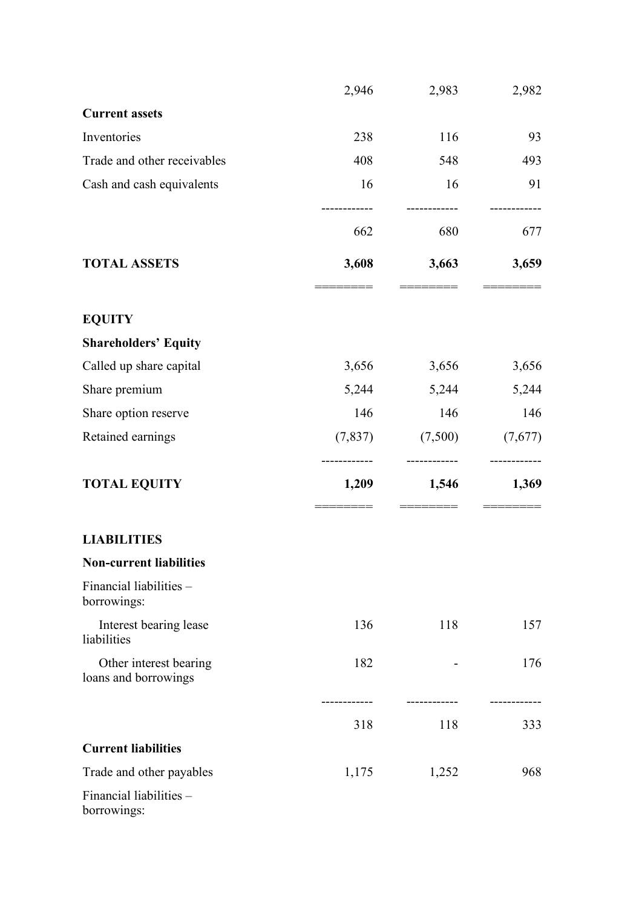|                                                | 2,946    | 2,983   | 2,982   |
|------------------------------------------------|----------|---------|---------|
| <b>Current assets</b>                          |          |         |         |
| Inventories                                    | 238      | 116     | 93      |
| Trade and other receivables                    | 408      | 548     | 493     |
| Cash and cash equivalents                      | 16       | 16      | 91      |
|                                                | 662      | 680     | 677     |
| <b>TOTAL ASSETS</b>                            | 3,608    | 3,663   | 3,659   |
| <b>EQUITY</b>                                  |          |         |         |
| <b>Shareholders' Equity</b>                    |          |         |         |
| Called up share capital                        | 3,656    | 3,656   | 3,656   |
| Share premium                                  | 5,244    | 5,244   | 5,244   |
| Share option reserve                           | 146      | 146     | 146     |
| Retained earnings                              | (7, 837) | (7,500) | (7,677) |
| <b>TOTAL EQUITY</b>                            | 1,209    | 1,546   | 1,369   |
|                                                |          |         |         |
| <b>LIABILITIES</b>                             |          |         |         |
| <b>Non-current liabilities</b>                 |          |         |         |
| Financial liabilities -<br>borrowings:         |          |         |         |
| Interest bearing lease<br>liabilities          | 136      | 118     | 157     |
| Other interest bearing<br>loans and borrowings | 182      |         | 176     |
|                                                | 318      | 118     | 333     |
| <b>Current liabilities</b>                     |          |         |         |
| Trade and other payables                       | 1,175    | 1,252   | 968     |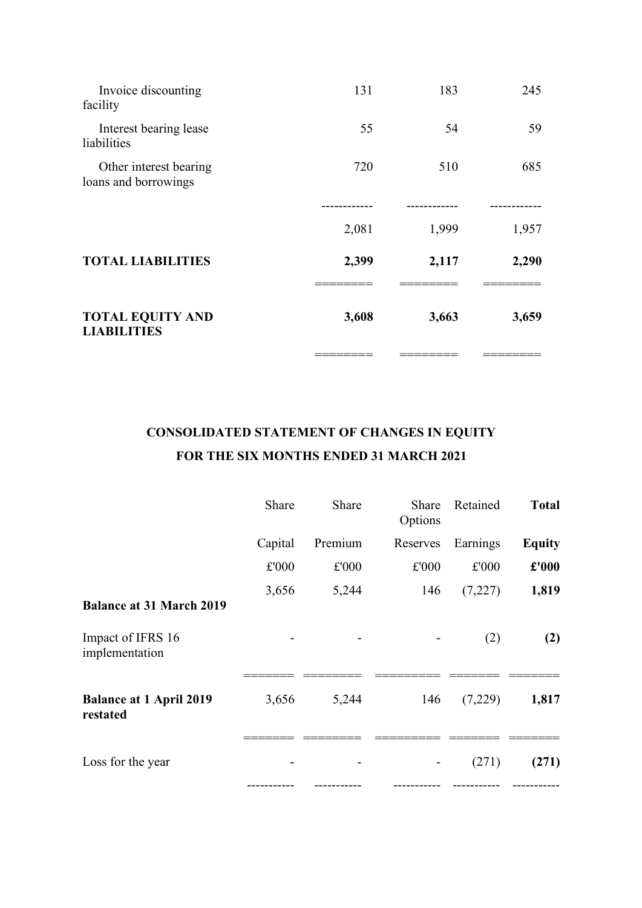| <b>TOTAL EQUITY AND</b><br><b>LIABILITIES</b>  | 3,608 | 3,663 | 3,659 |
|------------------------------------------------|-------|-------|-------|
|                                                |       |       |       |
| <b>TOTAL LIABILITIES</b>                       | 2,399 | 2,117 | 2,290 |
|                                                | 2,081 | 1,999 | 1,957 |
|                                                |       |       |       |
| Other interest bearing<br>loans and borrowings | 720   | 510   | 685   |
| Interest bearing lease<br>liabilities          | 55    | 54    | 59    |
| Invoice discounting<br>facility                | 131   | 183   | 245   |
|                                                |       |       |       |

# **CONSOLIDATED STATEMENT OF CHANGES IN EQUITY FOR THE SIX MONTHS ENDED 31 MARCH 2021**

|                                            | Share   | Share   | Share<br>Options | Retained | <b>Total</b>  |
|--------------------------------------------|---------|---------|------------------|----------|---------------|
|                                            | Capital | Premium | Reserves         | Earnings | <b>Equity</b> |
|                                            | £'000   | £'000   | £'000            | £'000    | £'000         |
| <b>Balance at 31 March 2019</b>            | 3,656   | 5,244   | 146              | (7,227)  | 1,819         |
| Impact of IFRS 16<br>implementation        |         |         |                  | (2)      | (2)           |
| <b>Balance at 1 April 2019</b><br>restated | 3,656   | 5,244   | 146              | (7,229)  | 1,817         |
| Loss for the year                          |         |         |                  | (271)    | (271)         |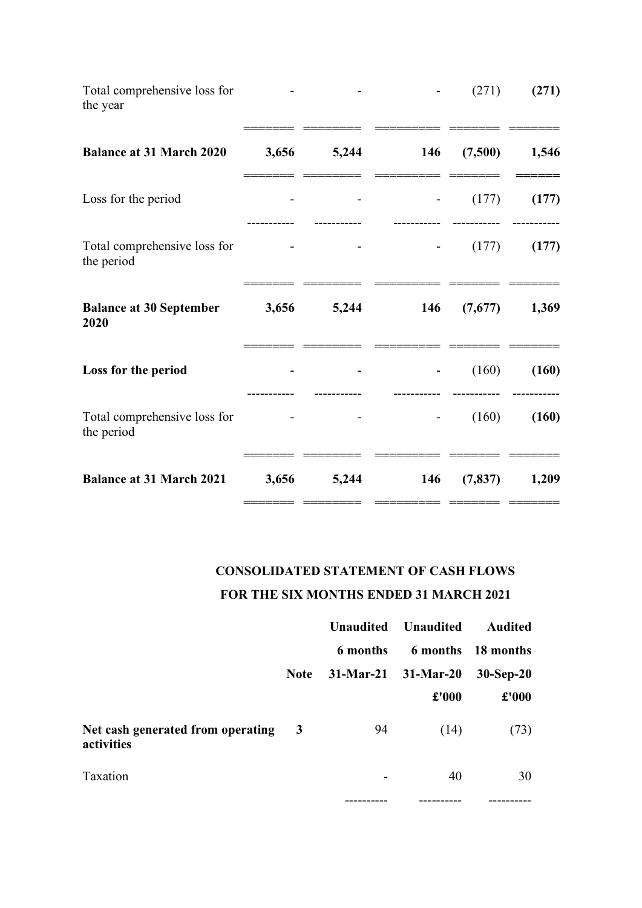| Total comprehensive loss for<br>the year   |       |       |     | (271)    | (271) |
|--------------------------------------------|-------|-------|-----|----------|-------|
| <b>Balance at 31 March 2020</b>            | 3,656 | 5,244 | 146 | (7,500)  | 1,546 |
| Loss for the period                        |       |       |     | (177)    | (177) |
| Total comprehensive loss for<br>the period |       |       |     | (177)    | (177) |
| <b>Balance at 30 September</b><br>2020     | 3,656 | 5,244 | 146 | (7,677)  | 1,369 |
| Loss for the period                        |       |       |     | (160)    | (160) |
| Total comprehensive loss for<br>the period |       |       |     | (160)    | (160) |
| <b>Balance at 31 March 2021</b>            | 3,656 | 5,244 | 146 | (7, 837) | 1,209 |

# **CONSOLIDATED STATEMENT OF CASH FLOWS FOR THE SIX MONTHS ENDED 31 MARCH 2021**

======= ======== ========= ======= =======

|                                                 |                         | <b>Unaudited</b> | <b>Unaudited</b>        | <b>Audited</b>     |
|-------------------------------------------------|-------------------------|------------------|-------------------------|--------------------|
|                                                 |                         | 6 months         |                         | 6 months 18 months |
|                                                 | <b>Note</b>             |                  | $31-Mar-21$ $31-Mar-20$ | $30-Sep-20$        |
|                                                 |                         |                  | £'000                   | $\pounds 000$      |
| Net cash generated from operating<br>activities | $\overline{\mathbf{3}}$ | 94               | (14)                    | (73)               |
| Taxation                                        |                         |                  | 40                      | 30                 |
|                                                 |                         |                  |                         |                    |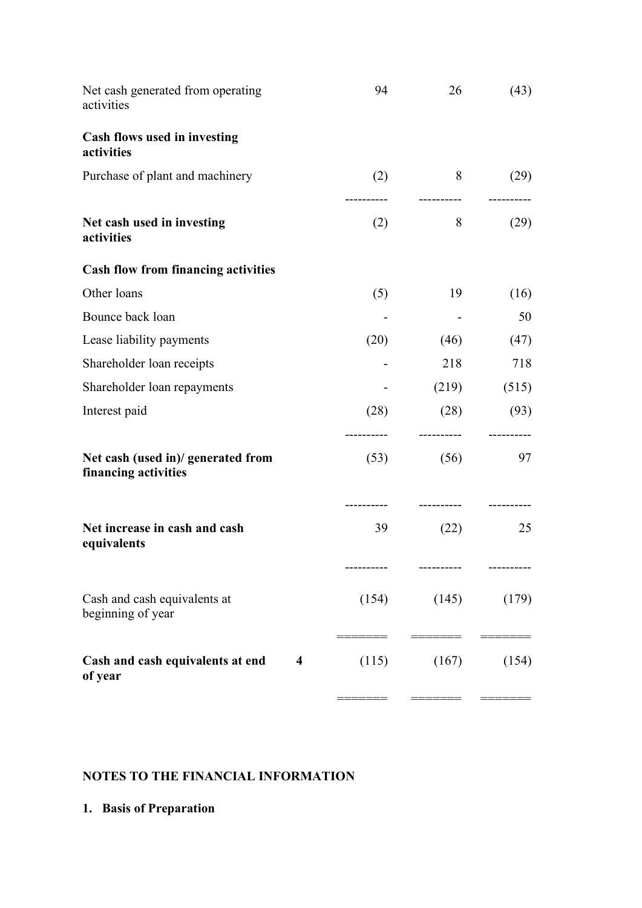| Net cash generated from operating<br>activities                        | 94                  | 26                  | (43)            |
|------------------------------------------------------------------------|---------------------|---------------------|-----------------|
| Cash flows used in investing<br>activities                             |                     |                     |                 |
| Purchase of plant and machinery                                        | (2)                 | 8                   | (29)            |
| Net cash used in investing<br>activities                               | (2)                 | 8                   | (29)            |
| <b>Cash flow from financing activities</b>                             |                     |                     |                 |
| Other loans                                                            | (5)                 | 19                  | (16)            |
| Bounce back loan                                                       |                     |                     | 50              |
| Lease liability payments                                               | (20)                | (46)                | (47)            |
| Shareholder loan receipts                                              |                     | 218                 | 718             |
| Shareholder loan repayments                                            |                     | (219)               | (515)           |
| Interest paid                                                          | (28)                | (28)                | (93)            |
| Net cash (used in)/ generated from<br>financing activities             | -----------<br>(53) | -----------<br>(56) | ---------<br>97 |
| Net increase in cash and cash<br>equivalents                           | 39                  | (22)                | 25              |
| Cash and cash equivalents at<br>beginning of year                      | (154)               | (145)               | (179)           |
| Cash and cash equivalents at end<br>$\overline{\mathbf{4}}$<br>of year | (115)               | (167)               | (154)           |

# **NOTES TO THE FINANCIAL INFORMATION**

**1. Basis of Preparation**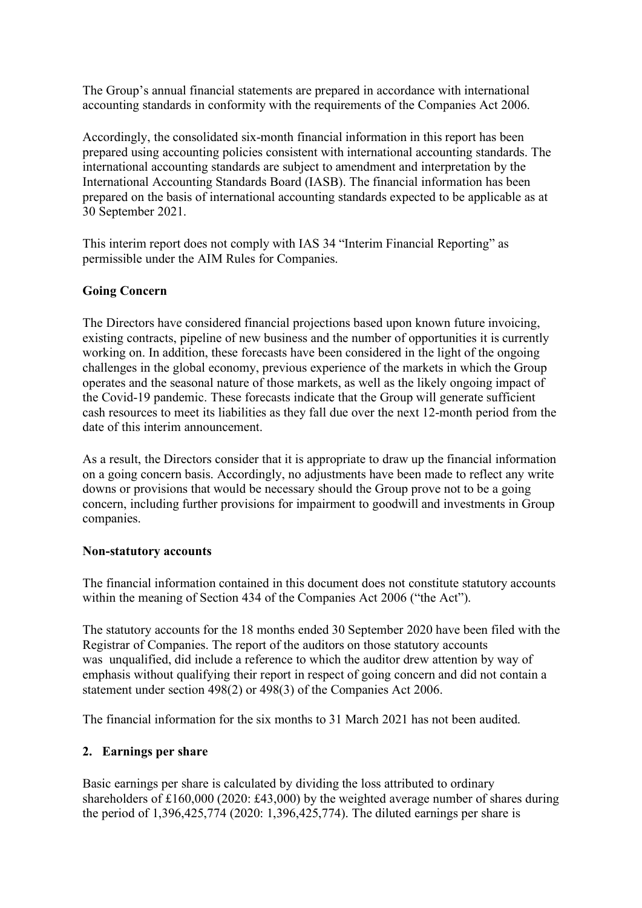The Group's annual financial statements are prepared in accordance with international accounting standards in conformity with the requirements of the Companies Act 2006.

Accordingly, the consolidated six-month financial information in this report has been prepared using accounting policies consistent with international accounting standards. The international accounting standards are subject to amendment and interpretation by the International Accounting Standards Board (IASB). The financial information has been prepared on the basis of international accounting standards expected to be applicable as at 30 September 2021.

This interim report does not comply with IAS 34 "Interim Financial Reporting" as permissible under the AIM Rules for Companies.

#### **Going Concern**

The Directors have considered financial projections based upon known future invoicing, existing contracts, pipeline of new business and the number of opportunities it is currently working on. In addition, these forecasts have been considered in the light of the ongoing challenges in the global economy, previous experience of the markets in which the Group operates and the seasonal nature of those markets, as well as the likely ongoing impact of the Covid-19 pandemic. These forecasts indicate that the Group will generate sufficient cash resources to meet its liabilities as they fall due over the next 12-month period from the date of this interim announcement.

As a result, the Directors consider that it is appropriate to draw up the financial information on a going concern basis. Accordingly, no adjustments have been made to reflect any write downs or provisions that would be necessary should the Group prove not to be a going concern, including further provisions for impairment to goodwill and investments in Group companies.

#### **Non-statutory accounts**

The financial information contained in this document does not constitute statutory accounts within the meaning of Section 434 of the Companies Act 2006 ("the Act").

The statutory accounts for the 18 months ended 30 September 2020 have been filed with the Registrar of Companies. The report of the auditors on those statutory accounts was unqualified, did include a reference to which the auditor drew attention by way of emphasis without qualifying their report in respect of going concern and did not contain a statement under section 498(2) or 498(3) of the Companies Act 2006.

The financial information for the six months to 31 March 2021 has not been audited.

#### **2. Earnings per share**

Basic earnings per share is calculated by dividing the loss attributed to ordinary shareholders of £160,000 (2020: £43,000) by the weighted average number of shares during the period of 1,396,425,774 (2020: 1,396,425,774). The diluted earnings per share is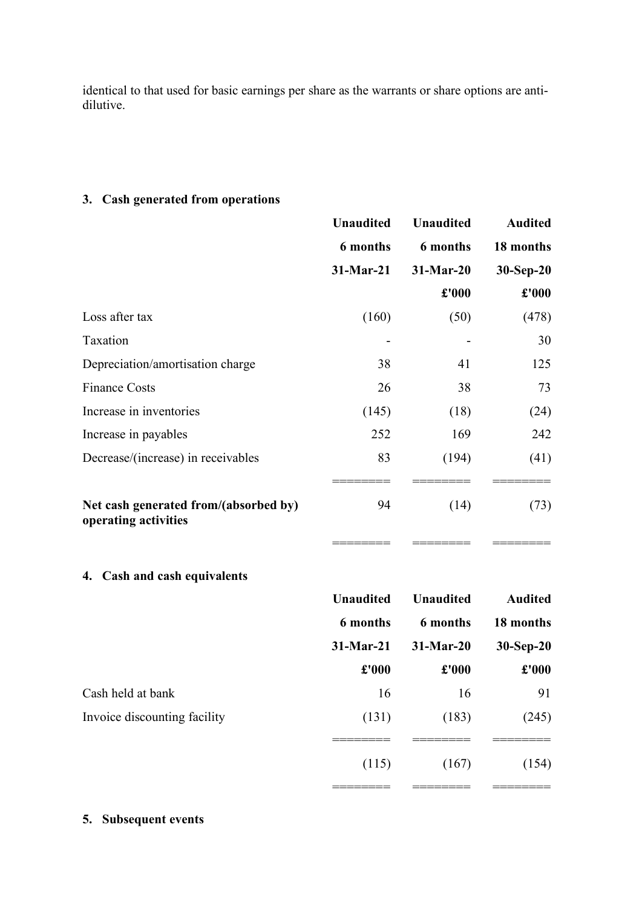identical to that used for basic earnings per share as the warrants or share options are antidilutive.

## **3. Cash generated from operations**

|                                                               | <b>Unaudited</b> | <b>Unaudited</b>     | <b>Audited</b> |
|---------------------------------------------------------------|------------------|----------------------|----------------|
|                                                               | 6 months         | <b>6</b> months      | 18 months      |
|                                                               | 31-Mar-21        | $31-Mar-20$          | $30-Sep-20$    |
|                                                               |                  | $\pmb{\pounds}$ '000 | £'000          |
| Loss after tax                                                | (160)            | (50)                 | (478)          |
| Taxation                                                      |                  |                      | 30             |
| Depreciation/amortisation charge                              | 38               | 41                   | 125            |
| <b>Finance Costs</b>                                          | 26               | 38                   | 73             |
| Increase in inventories                                       | (145)            | (18)                 | (24)           |
| Increase in payables                                          | 252              | 169                  | 242            |
| Decrease/(increase) in receivables                            | 83               | (194)                | (41)           |
| Net cash generated from/(absorbed by)<br>operating activities | 94               | (14)                 | (73)           |
|                                                               |                  |                      |                |

**4. Cash and cash equivalents**

|                              | <b>Unaudited</b> | <b>Unaudited</b> | <b>Audited</b> |
|------------------------------|------------------|------------------|----------------|
|                              | 6 months         | 6 months         | 18 months      |
|                              | 31-Mar-21        | $31-Mar-20$      | $30-Sep-20$    |
|                              | £'000            | £'000            | £'000          |
| Cash held at bank            | 16               | 16               | 91             |
| Invoice discounting facility | (131)            | (183)            | (245)          |
|                              |                  |                  |                |
|                              | (115)            | (167)            | (154)          |
|                              |                  |                  |                |

### **5. Subsequent events**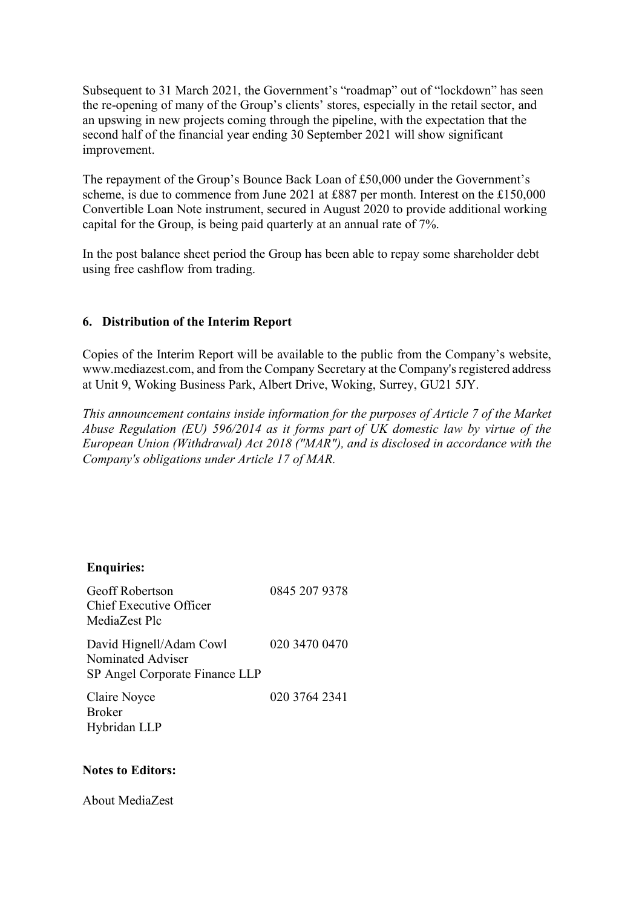Subsequent to 31 March 2021, the Government's "roadmap" out of "lockdown" has seen the re-opening of many of the Group's clients' stores, especially in the retail sector, and an upswing in new projects coming through the pipeline, with the expectation that the second half of the financial year ending 30 September 2021 will show significant improvement.

The repayment of the Group's Bounce Back Loan of £50,000 under the Government's scheme, is due to commence from June 2021 at £887 per month. Interest on the £150,000 Convertible Loan Note instrument, secured in August 2020 to provide additional working capital for the Group, is being paid quarterly at an annual rate of 7%.

In the post balance sheet period the Group has been able to repay some shareholder debt using free cashflow from trading.

#### **6. Distribution of the Interim Report**

Copies of the Interim Report will be available to the public from the Company's website, www.mediazest.com, and from the Company Secretary at the Company's registered address at Unit 9, Woking Business Park, Albert Drive, Woking, Surrey, GU21 5JY.

*This announcement contains inside information for the purposes of Article 7 of the Market Abuse Regulation (EU) 596/2014 as it forms part of UK domestic law by virtue of the European Union (Withdrawal) Act 2018 ("MAR"), and is disclosed in accordance with the Company's obligations under Article 17 of MAR.*

#### **Enquiries:**

| <b>Geoff Robertson</b><br><b>Chief Executive Officer</b><br>MediaZest Plc      | 0845 207 9378 |
|--------------------------------------------------------------------------------|---------------|
| David Hignell/Adam Cowl<br>Nominated Adviser<br>SP Angel Corporate Finance LLP | 020 3470 0470 |
| Claire Noyce<br><b>Broker</b><br>Hybridan LLP                                  | 020 3764 2341 |

#### **Notes to Editors:**

About MediaZest